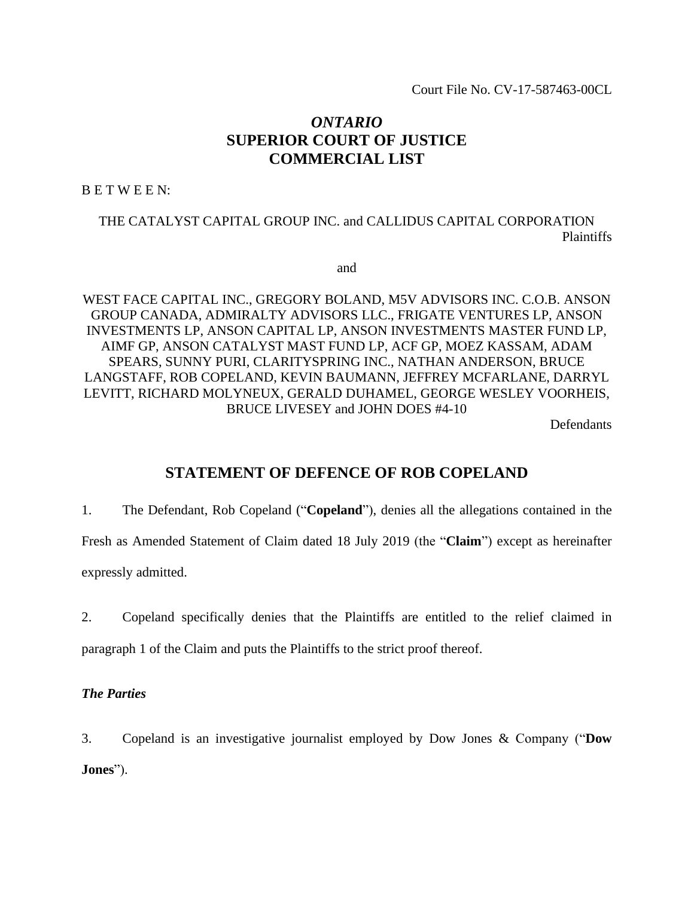Court File No. CV-17-587463-00CL

# *ONTARIO* **SUPERIOR COURT OF JUSTICE COMMERCIAL LIST**

B E T W E E N:

THE CATALYST CAPITAL GROUP INC. and CALLIDUS CAPITAL CORPORATION Plaintiffs

and

WEST FACE CAPITAL INC., GREGORY BOLAND, M5V ADVISORS INC. C.O.B. ANSON GROUP CANADA, ADMIRALTY ADVISORS LLC., FRIGATE VENTURES LP, ANSON INVESTMENTS LP, ANSON CAPITAL LP, ANSON INVESTMENTS MASTER FUND LP, AIMF GP, ANSON CATALYST MAST FUND LP, ACF GP, MOEZ KASSAM, ADAM SPEARS, SUNNY PURI, CLARITYSPRING INC., NATHAN ANDERSON, BRUCE LANGSTAFF, ROB COPELAND, KEVIN BAUMANN, JEFFREY MCFARLANE, DARRYL LEVITT, RICHARD MOLYNEUX, GERALD DUHAMEL, GEORGE WESLEY VOORHEIS, BRUCE LIVESEY and JOHN DOES #4-10

Defendants

# **STATEMENT OF DEFENCE OF ROB COPELAND**

1. The Defendant, Rob Copeland ("**Copeland**"), denies all the allegations contained in the Fresh as Amended Statement of Claim dated 18 July 2019 (the "**Claim**") except as hereinafter

expressly admitted.

2. Copeland specifically denies that the Plaintiffs are entitled to the relief claimed in paragraph 1 of the Claim and puts the Plaintiffs to the strict proof thereof.

## *The Parties*

3. Copeland is an investigative journalist employed by Dow Jones & Company ("**Dow Jones**").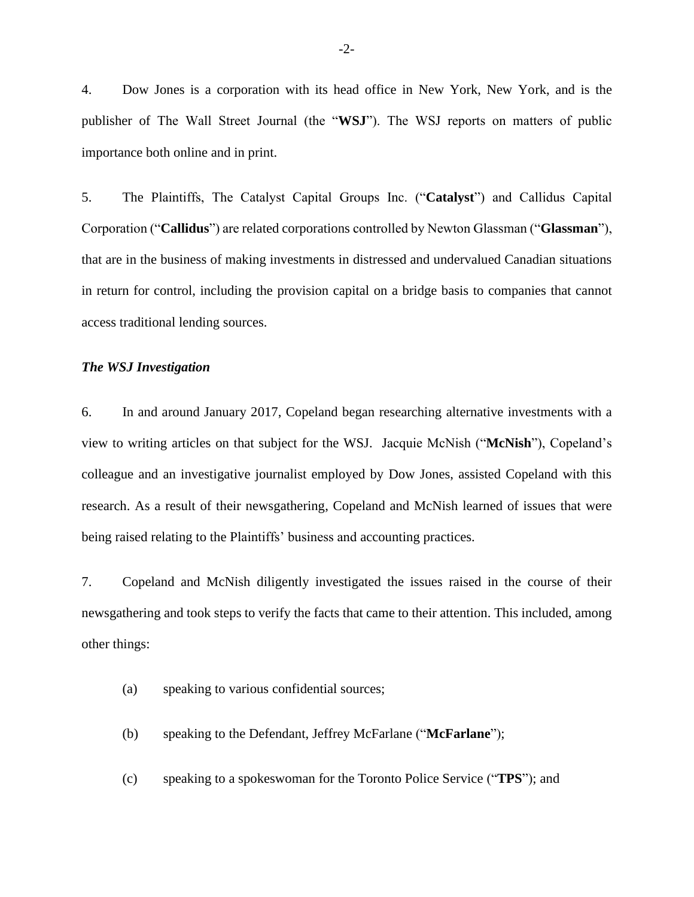4. Dow Jones is a corporation with its head office in New York, New York, and is the publisher of The Wall Street Journal (the "**WSJ**"). The WSJ reports on matters of public importance both online and in print.

5. The Plaintiffs, The Catalyst Capital Groups Inc. ("**Catalyst**") and Callidus Capital Corporation ("**Callidus**") are related corporations controlled by Newton Glassman ("**Glassman**"), that are in the business of making investments in distressed and undervalued Canadian situations in return for control, including the provision capital on a bridge basis to companies that cannot access traditional lending sources.

#### *The WSJ Investigation*

6. In and around January 2017, Copeland began researching alternative investments with a view to writing articles on that subject for the WSJ. Jacquie McNish ("**McNish**"), Copeland's colleague and an investigative journalist employed by Dow Jones, assisted Copeland with this research. As a result of their newsgathering, Copeland and McNish learned of issues that were being raised relating to the Plaintiffs' business and accounting practices.

7. Copeland and McNish diligently investigated the issues raised in the course of their newsgathering and took steps to verify the facts that came to their attention. This included, among other things:

- (a) speaking to various confidential sources;
- (b) speaking to the Defendant, Jeffrey McFarlane ("**McFarlane**");
- (c) speaking to a spokeswoman for the Toronto Police Service ("**TPS**"); and

-2-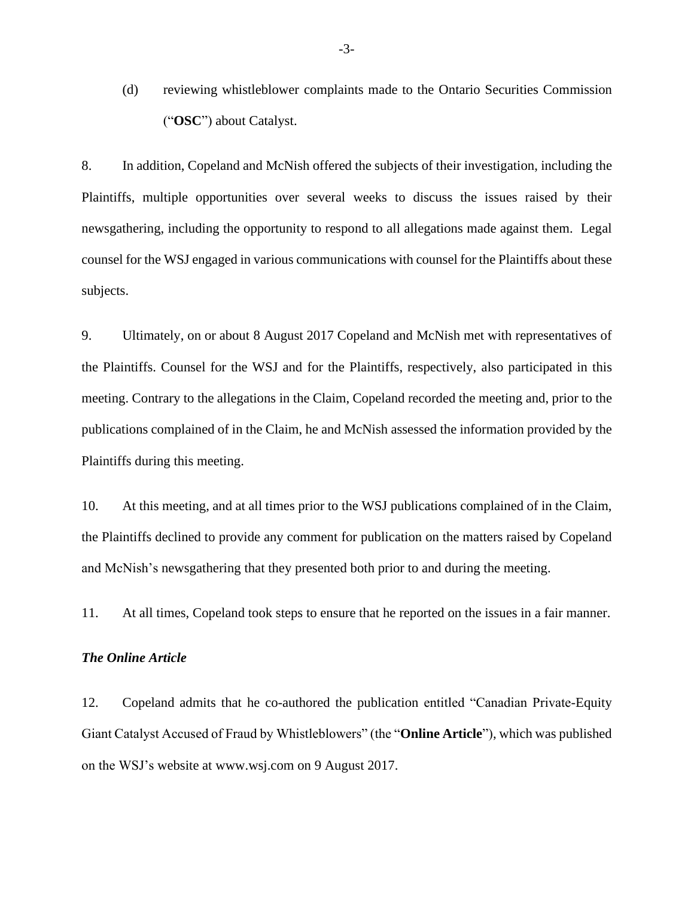(d) reviewing whistleblower complaints made to the Ontario Securities Commission ("**OSC**") about Catalyst.

8. In addition, Copeland and McNish offered the subjects of their investigation, including the Plaintiffs, multiple opportunities over several weeks to discuss the issues raised by their newsgathering, including the opportunity to respond to all allegations made against them. Legal counsel for the WSJ engaged in various communications with counsel for the Plaintiffs about these subjects.

9. Ultimately, on or about 8 August 2017 Copeland and McNish met with representatives of the Plaintiffs. Counsel for the WSJ and for the Plaintiffs, respectively, also participated in this meeting. Contrary to the allegations in the Claim, Copeland recorded the meeting and, prior to the publications complained of in the Claim, he and McNish assessed the information provided by the Plaintiffs during this meeting.

10. At this meeting, and at all times prior to the WSJ publications complained of in the Claim, the Plaintiffs declined to provide any comment for publication on the matters raised by Copeland and McNish's newsgathering that they presented both prior to and during the meeting.

11. At all times, Copeland took steps to ensure that he reported on the issues in a fair manner.

#### *The Online Article*

12. Copeland admits that he co-authored the publication entitled "Canadian Private-Equity Giant Catalyst Accused of Fraud by Whistleblowers" (the "**Online Article**"), which was published on the WSJ's website at www.wsj.com on 9 August 2017.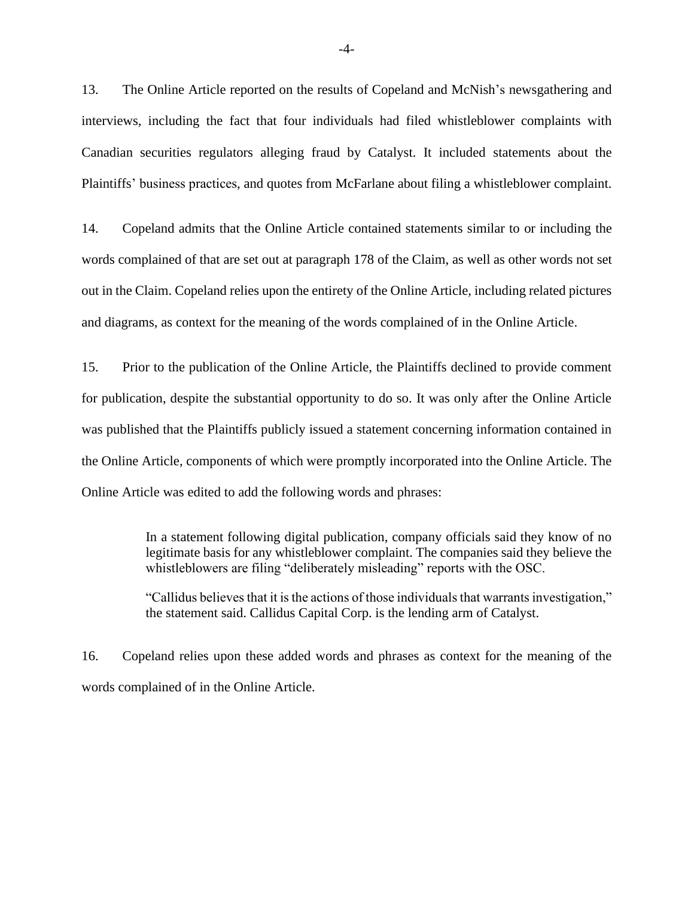13. The Online Article reported on the results of Copeland and McNish's newsgathering and interviews, including the fact that four individuals had filed whistleblower complaints with Canadian securities regulators alleging fraud by Catalyst. It included statements about the Plaintiffs' business practices, and quotes from McFarlane about filing a whistleblower complaint.

14. Copeland admits that the Online Article contained statements similar to or including the words complained of that are set out at paragraph 178 of the Claim, as well as other words not set out in the Claim. Copeland relies upon the entirety of the Online Article, including related pictures and diagrams, as context for the meaning of the words complained of in the Online Article.

15. Prior to the publication of the Online Article, the Plaintiffs declined to provide comment for publication, despite the substantial opportunity to do so. It was only after the Online Article was published that the Plaintiffs publicly issued a statement concerning information contained in the Online Article, components of which were promptly incorporated into the Online Article. The Online Article was edited to add the following words and phrases:

> In a statement following digital publication, company officials said they know of no legitimate basis for any whistleblower complaint. The companies said they believe the whistleblowers are filing "deliberately misleading" reports with the OSC.

> "Callidus believes that it is the actions of those individuals that warrants investigation," the statement said. Callidus Capital Corp. is the lending arm of Catalyst.

16. Copeland relies upon these added words and phrases as context for the meaning of the words complained of in the Online Article.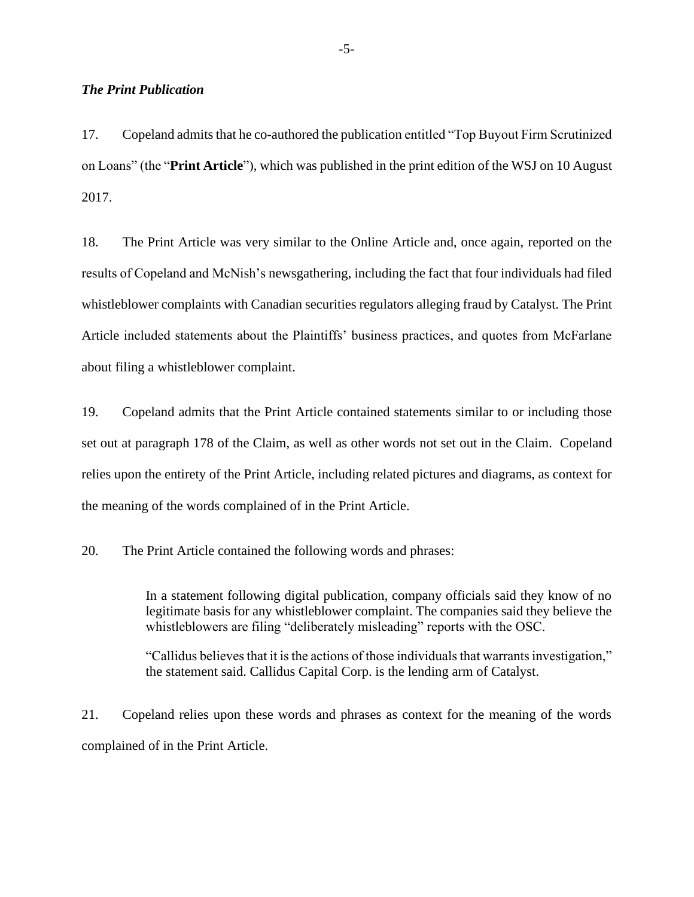#### *The Print Publication*

17. Copeland admits that he co-authored the publication entitled "Top Buyout Firm Scrutinized on Loans" (the "**Print Article**"), which was published in the print edition of the WSJ on 10 August 2017.

18. The Print Article was very similar to the Online Article and, once again, reported on the results of Copeland and McNish's newsgathering, including the fact that four individuals had filed whistleblower complaints with Canadian securities regulators alleging fraud by Catalyst. The Print Article included statements about the Plaintiffs' business practices, and quotes from McFarlane about filing a whistleblower complaint.

19. Copeland admits that the Print Article contained statements similar to or including those set out at paragraph 178 of the Claim, as well as other words not set out in the Claim. Copeland relies upon the entirety of the Print Article, including related pictures and diagrams, as context for the meaning of the words complained of in the Print Article.

20. The Print Article contained the following words and phrases:

In a statement following digital publication, company officials said they know of no legitimate basis for any whistleblower complaint. The companies said they believe the whistleblowers are filing "deliberately misleading" reports with the OSC.

"Callidus believes that it is the actions of those individuals that warrants investigation," the statement said. Callidus Capital Corp. is the lending arm of Catalyst.

21. Copeland relies upon these words and phrases as context for the meaning of the words complained of in the Print Article.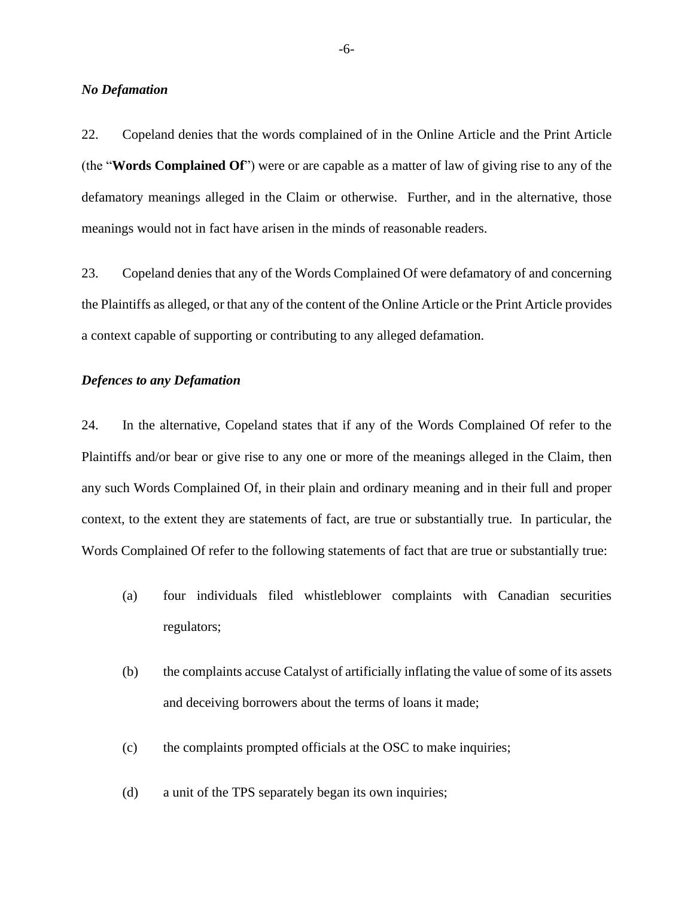#### *No Defamation*

22. Copeland denies that the words complained of in the Online Article and the Print Article (the "**Words Complained Of**") were or are capable as a matter of law of giving rise to any of the defamatory meanings alleged in the Claim or otherwise. Further, and in the alternative, those meanings would not in fact have arisen in the minds of reasonable readers.

23. Copeland denies that any of the Words Complained Of were defamatory of and concerning the Plaintiffs as alleged, or that any of the content of the Online Article or the Print Article provides a context capable of supporting or contributing to any alleged defamation.

#### *Defences to any Defamation*

24. In the alternative, Copeland states that if any of the Words Complained Of refer to the Plaintiffs and/or bear or give rise to any one or more of the meanings alleged in the Claim, then any such Words Complained Of, in their plain and ordinary meaning and in their full and proper context, to the extent they are statements of fact, are true or substantially true. In particular, the Words Complained Of refer to the following statements of fact that are true or substantially true:

- (a) four individuals filed whistleblower complaints with Canadian securities regulators;
- (b) the complaints accuse Catalyst of artificially inflating the value of some of its assets and deceiving borrowers about the terms of loans it made;
- (c) the complaints prompted officials at the OSC to make inquiries;
- (d) a unit of the TPS separately began its own inquiries;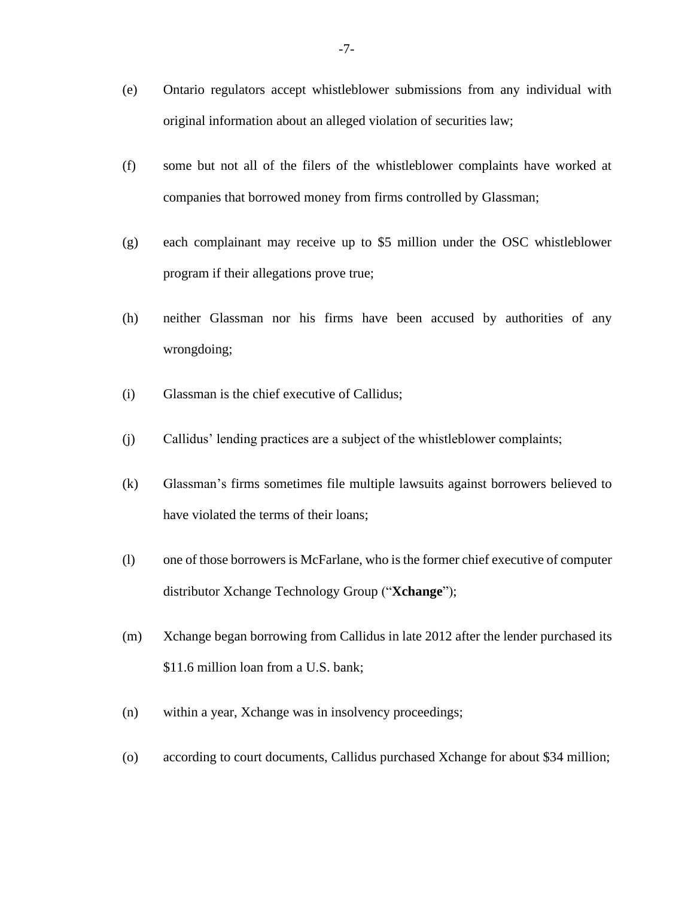- (e) Ontario regulators accept whistleblower submissions from any individual with original information about an alleged violation of securities law;
- (f) some but not all of the filers of the whistleblower complaints have worked at companies that borrowed money from firms controlled by Glassman;
- (g) each complainant may receive up to \$5 million under the OSC whistleblower program if their allegations prove true;
- (h) neither Glassman nor his firms have been accused by authorities of any wrongdoing;
- (i) Glassman is the chief executive of Callidus;
- (j) Callidus' lending practices are a subject of the whistleblower complaints;
- (k) Glassman's firms sometimes file multiple lawsuits against borrowers believed to have violated the terms of their loans;
- (l) one of those borrowers is McFarlane, who is the former chief executive of computer distributor Xchange Technology Group ("**Xchange**");
- (m) Xchange began borrowing from Callidus in late 2012 after the lender purchased its \$11.6 million loan from a U.S. bank;
- (n) within a year, Xchange was in insolvency proceedings;
- (o) according to court documents, Callidus purchased Xchange for about \$34 million;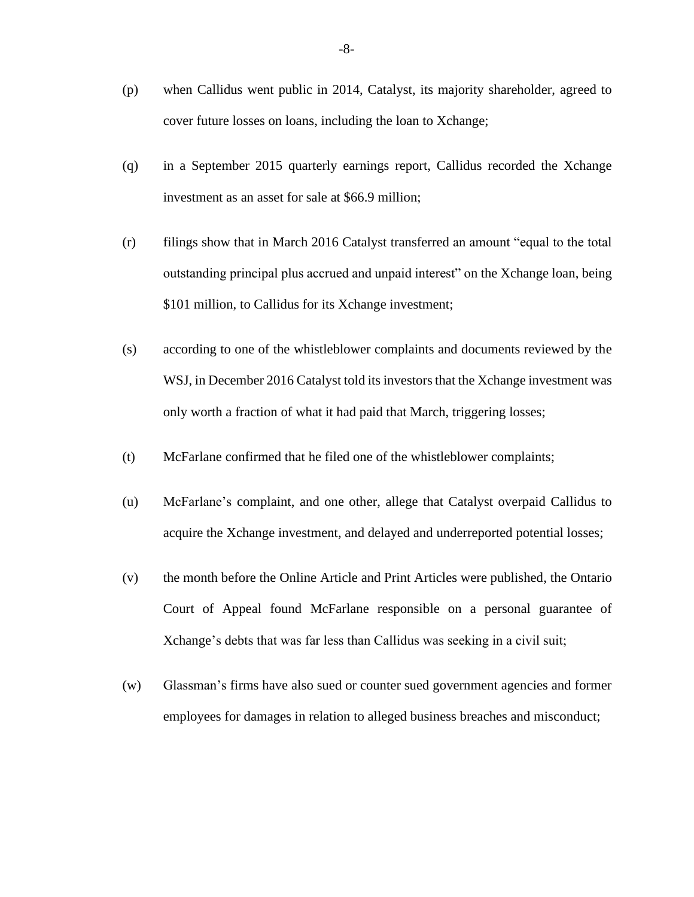- (p) when Callidus went public in 2014, Catalyst, its majority shareholder, agreed to cover future losses on loans, including the loan to Xchange;
- (q) in a September 2015 quarterly earnings report, Callidus recorded the Xchange investment as an asset for sale at \$66.9 million;
- (r) filings show that in March 2016 Catalyst transferred an amount "equal to the total outstanding principal plus accrued and unpaid interest" on the Xchange loan, being \$101 million, to Callidus for its Xchange investment;
- (s) according to one of the whistleblower complaints and documents reviewed by the WSJ, in December 2016 Catalyst told its investors that the Xchange investment was only worth a fraction of what it had paid that March, triggering losses;
- (t) McFarlane confirmed that he filed one of the whistleblower complaints;
- (u) McFarlane's complaint, and one other, allege that Catalyst overpaid Callidus to acquire the Xchange investment, and delayed and underreported potential losses;
- (v) the month before the Online Article and Print Articles were published, the Ontario Court of Appeal found McFarlane responsible on a personal guarantee of Xchange's debts that was far less than Callidus was seeking in a civil suit;
- (w) Glassman's firms have also sued or counter sued government agencies and former employees for damages in relation to alleged business breaches and misconduct;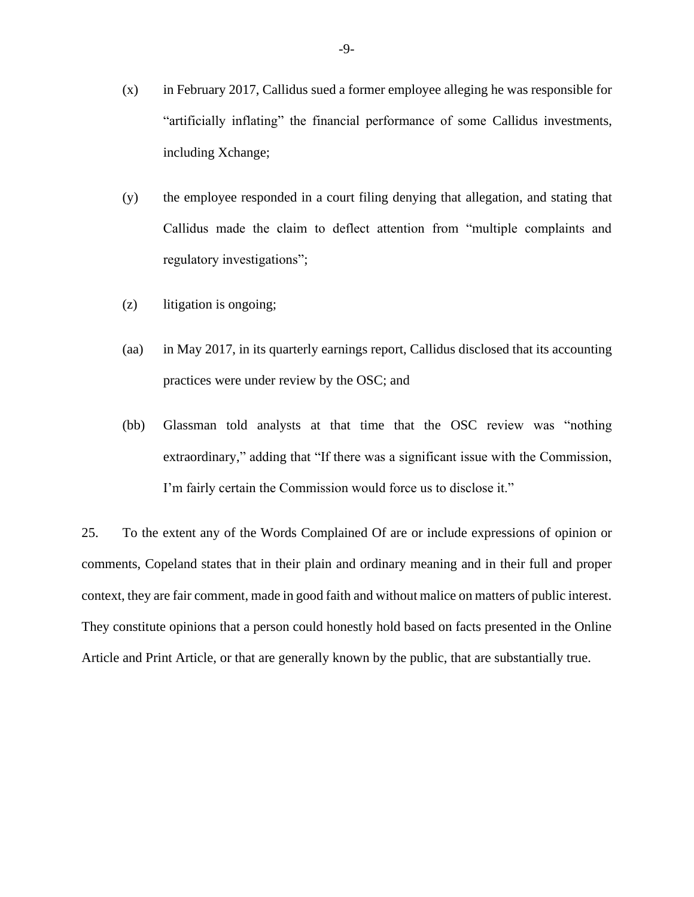- (x) in February 2017, Callidus sued a former employee alleging he was responsible for "artificially inflating" the financial performance of some Callidus investments, including Xchange;
- (y) the employee responded in a court filing denying that allegation, and stating that Callidus made the claim to deflect attention from "multiple complaints and regulatory investigations";
- (z) litigation is ongoing;
- (aa) in May 2017, in its quarterly earnings report, Callidus disclosed that its accounting practices were under review by the OSC; and
- (bb) Glassman told analysts at that time that the OSC review was "nothing extraordinary," adding that "If there was a significant issue with the Commission, I'm fairly certain the Commission would force us to disclose it."

25. To the extent any of the Words Complained Of are or include expressions of opinion or comments, Copeland states that in their plain and ordinary meaning and in their full and proper context, they are fair comment, made in good faith and without malice on matters of public interest. They constitute opinions that a person could honestly hold based on facts presented in the Online Article and Print Article, or that are generally known by the public, that are substantially true.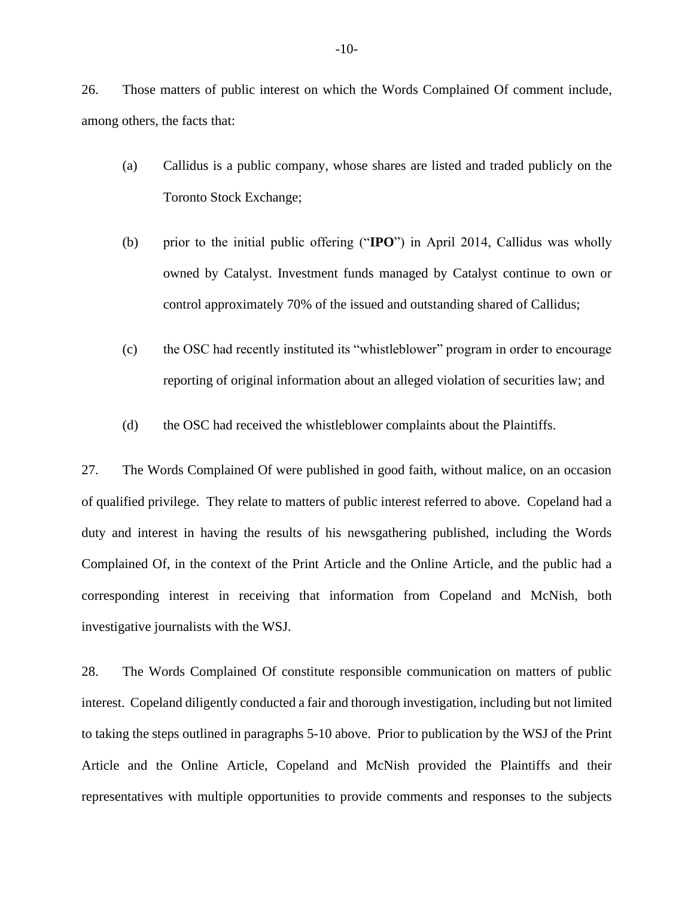26. Those matters of public interest on which the Words Complained Of comment include, among others, the facts that:

- (a) Callidus is a public company, whose shares are listed and traded publicly on the Toronto Stock Exchange;
- (b) prior to the initial public offering ("**IPO**") in April 2014, Callidus was wholly owned by Catalyst. Investment funds managed by Catalyst continue to own or control approximately 70% of the issued and outstanding shared of Callidus;
- (c) the OSC had recently instituted its "whistleblower" program in order to encourage reporting of original information about an alleged violation of securities law; and
- (d) the OSC had received the whistleblower complaints about the Plaintiffs.

27. The Words Complained Of were published in good faith, without malice, on an occasion of qualified privilege. They relate to matters of public interest referred to above. Copeland had a duty and interest in having the results of his newsgathering published, including the Words Complained Of, in the context of the Print Article and the Online Article, and the public had a corresponding interest in receiving that information from Copeland and McNish, both investigative journalists with the WSJ.

28. The Words Complained Of constitute responsible communication on matters of public interest. Copeland diligently conducted a fair and thorough investigation, including but not limited to taking the steps outlined in paragraphs 5-10 above. Prior to publication by the WSJ of the Print Article and the Online Article, Copeland and McNish provided the Plaintiffs and their representatives with multiple opportunities to provide comments and responses to the subjects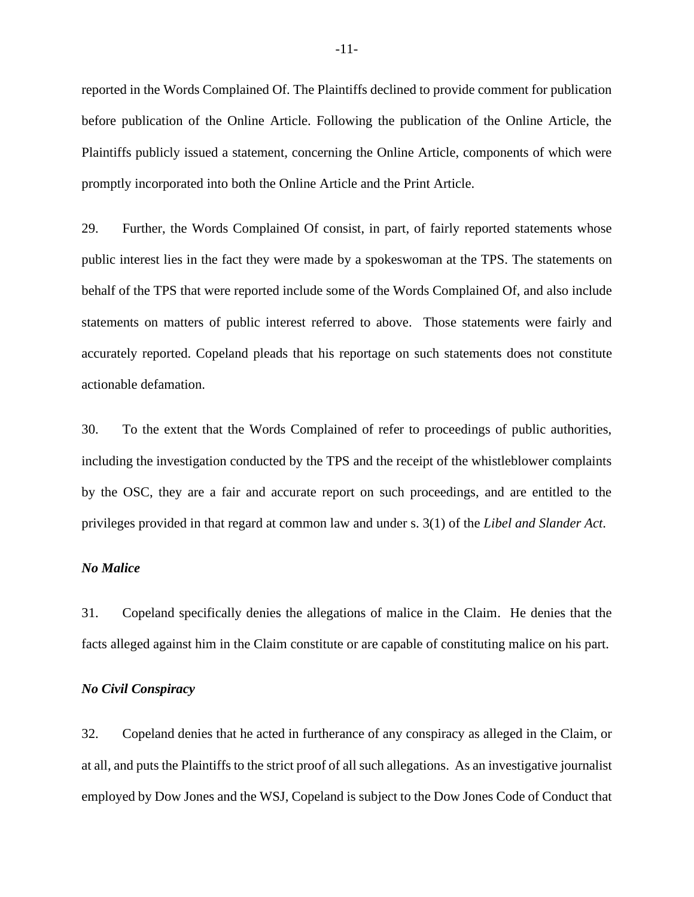reported in the Words Complained Of. The Plaintiffs declined to provide comment for publication before publication of the Online Article. Following the publication of the Online Article, the Plaintiffs publicly issued a statement, concerning the Online Article, components of which were promptly incorporated into both the Online Article and the Print Article.

29. Further, the Words Complained Of consist, in part, of fairly reported statements whose public interest lies in the fact they were made by a spokeswoman at the TPS. The statements on behalf of the TPS that were reported include some of the Words Complained Of, and also include statements on matters of public interest referred to above. Those statements were fairly and accurately reported. Copeland pleads that his reportage on such statements does not constitute actionable defamation.

30. To the extent that the Words Complained of refer to proceedings of public authorities, including the investigation conducted by the TPS and the receipt of the whistleblower complaints by the OSC, they are a fair and accurate report on such proceedings, and are entitled to the privileges provided in that regard at common law and under s. 3(1) of the *Libel and Slander Act*.

#### *No Malice*

31. Copeland specifically denies the allegations of malice in the Claim. He denies that the facts alleged against him in the Claim constitute or are capable of constituting malice on his part.

#### *No Civil Conspiracy*

32. Copeland denies that he acted in furtherance of any conspiracy as alleged in the Claim, or at all, and puts the Plaintiffs to the strict proof of all such allegations. As an investigative journalist employed by Dow Jones and the WSJ, Copeland is subject to the Dow Jones Code of Conduct that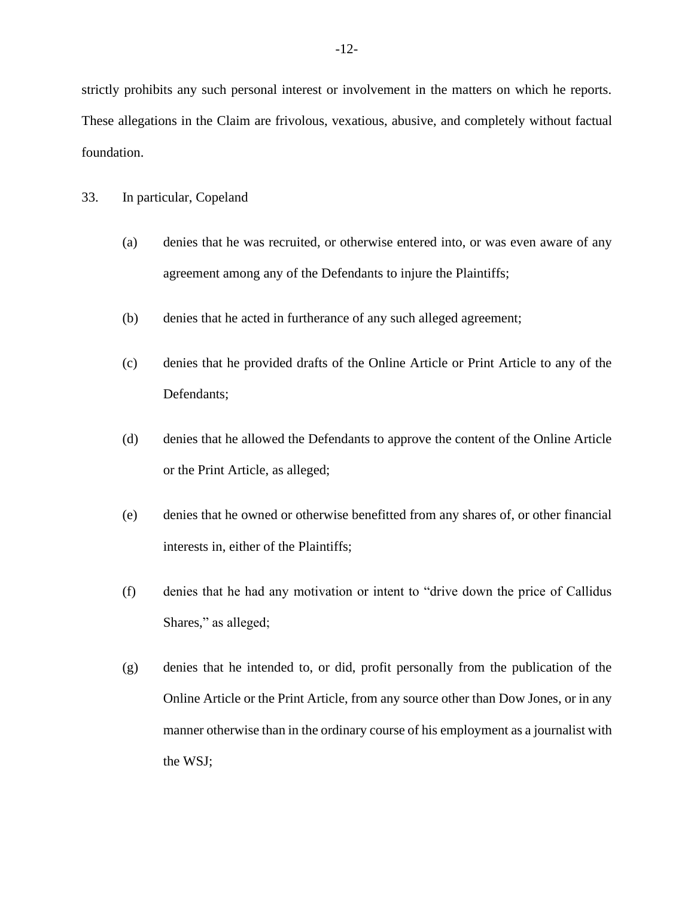strictly prohibits any such personal interest or involvement in the matters on which he reports. These allegations in the Claim are frivolous, vexatious, abusive, and completely without factual foundation.

#### 33. In particular, Copeland

- (a) denies that he was recruited, or otherwise entered into, or was even aware of any agreement among any of the Defendants to injure the Plaintiffs;
- (b) denies that he acted in furtherance of any such alleged agreement;
- (c) denies that he provided drafts of the Online Article or Print Article to any of the Defendants;
- (d) denies that he allowed the Defendants to approve the content of the Online Article or the Print Article, as alleged;
- (e) denies that he owned or otherwise benefitted from any shares of, or other financial interests in, either of the Plaintiffs;
- (f) denies that he had any motivation or intent to "drive down the price of Callidus Shares," as alleged;
- (g) denies that he intended to, or did, profit personally from the publication of the Online Article or the Print Article, from any source other than Dow Jones, or in any manner otherwise than in the ordinary course of his employment as a journalist with the WSJ;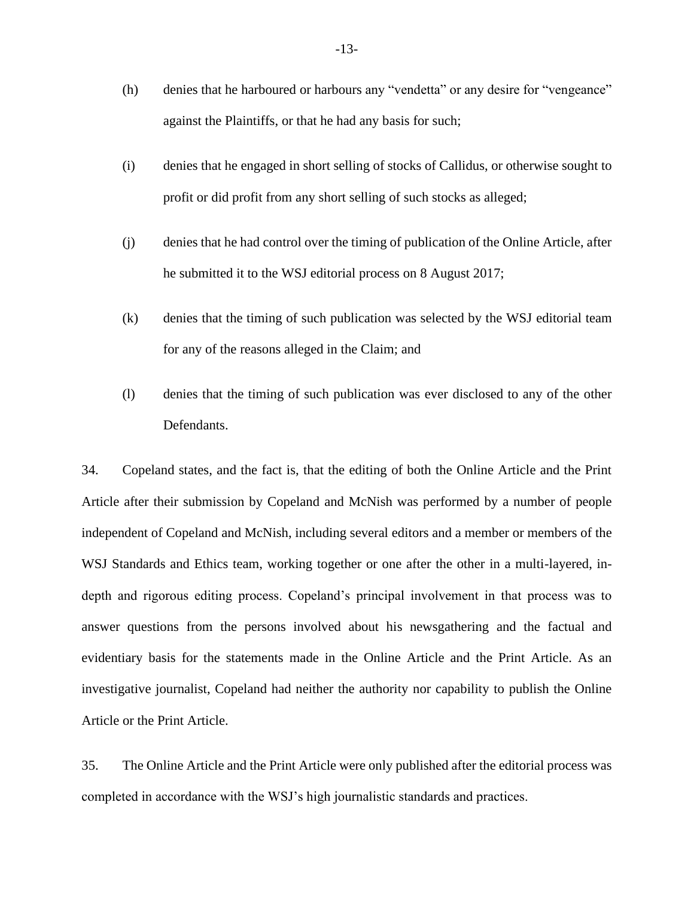- (h) denies that he harboured or harbours any "vendetta" or any desire for "vengeance" against the Plaintiffs, or that he had any basis for such;
- (i) denies that he engaged in short selling of stocks of Callidus, or otherwise sought to profit or did profit from any short selling of such stocks as alleged;
- (j) denies that he had control over the timing of publication of the Online Article, after he submitted it to the WSJ editorial process on 8 August 2017;
- (k) denies that the timing of such publication was selected by the WSJ editorial team for any of the reasons alleged in the Claim; and
- (l) denies that the timing of such publication was ever disclosed to any of the other Defendants.

34. Copeland states, and the fact is, that the editing of both the Online Article and the Print Article after their submission by Copeland and McNish was performed by a number of people independent of Copeland and McNish, including several editors and a member or members of the WSJ Standards and Ethics team, working together or one after the other in a multi-layered, indepth and rigorous editing process. Copeland's principal involvement in that process was to answer questions from the persons involved about his newsgathering and the factual and evidentiary basis for the statements made in the Online Article and the Print Article. As an investigative journalist, Copeland had neither the authority nor capability to publish the Online Article or the Print Article.

35. The Online Article and the Print Article were only published after the editorial process was completed in accordance with the WSJ's high journalistic standards and practices.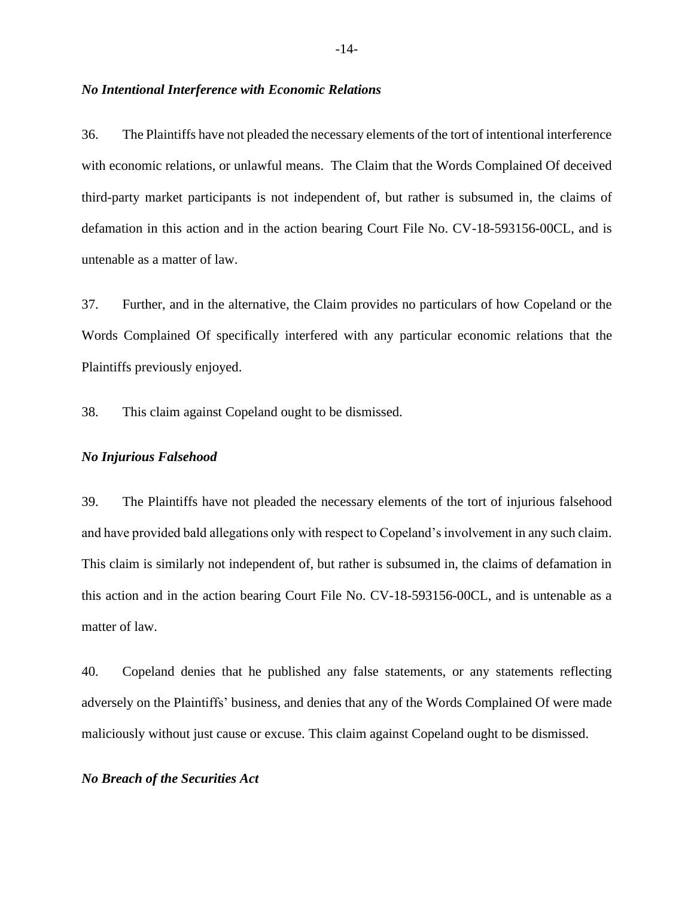#### *No Intentional Interference with Economic Relations*

36. The Plaintiffs have not pleaded the necessary elements of the tort of intentional interference with economic relations, or unlawful means. The Claim that the Words Complained Of deceived third-party market participants is not independent of, but rather is subsumed in, the claims of defamation in this action and in the action bearing Court File No. CV-18-593156-00CL, and is untenable as a matter of law.

37. Further, and in the alternative, the Claim provides no particulars of how Copeland or the Words Complained Of specifically interfered with any particular economic relations that the Plaintiffs previously enjoyed.

38. This claim against Copeland ought to be dismissed.

#### *No Injurious Falsehood*

39. The Plaintiffs have not pleaded the necessary elements of the tort of injurious falsehood and have provided bald allegations only with respect to Copeland's involvement in any such claim. This claim is similarly not independent of, but rather is subsumed in, the claims of defamation in this action and in the action bearing Court File No. CV-18-593156-00CL, and is untenable as a matter of law.

40. Copeland denies that he published any false statements, or any statements reflecting adversely on the Plaintiffs' business, and denies that any of the Words Complained Of were made maliciously without just cause or excuse. This claim against Copeland ought to be dismissed.

#### *No Breach of the Securities Act*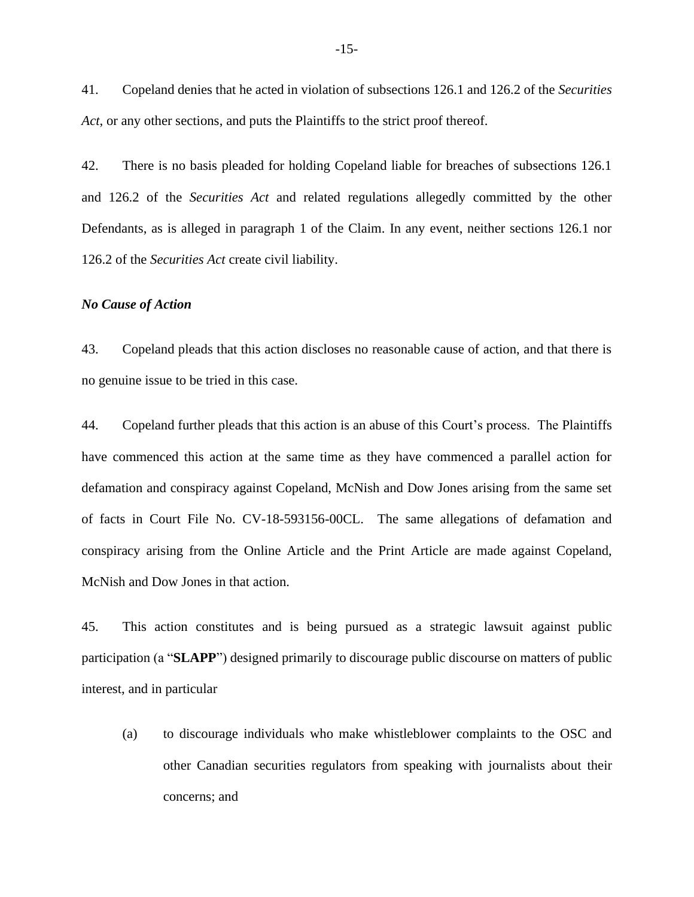41. Copeland denies that he acted in violation of subsections 126.1 and 126.2 of the *Securities Act*, or any other sections, and puts the Plaintiffs to the strict proof thereof.

42. There is no basis pleaded for holding Copeland liable for breaches of subsections 126.1 and 126.2 of the *Securities Act* and related regulations allegedly committed by the other Defendants, as is alleged in paragraph 1 of the Claim. In any event, neither sections 126.1 nor 126.2 of the *Securities Act* create civil liability.

#### *No Cause of Action*

43. Copeland pleads that this action discloses no reasonable cause of action, and that there is no genuine issue to be tried in this case.

44. Copeland further pleads that this action is an abuse of this Court's process. The Plaintiffs have commenced this action at the same time as they have commenced a parallel action for defamation and conspiracy against Copeland, McNish and Dow Jones arising from the same set of facts in Court File No. CV-18-593156-00CL. The same allegations of defamation and conspiracy arising from the Online Article and the Print Article are made against Copeland, McNish and Dow Jones in that action.

45. This action constitutes and is being pursued as a strategic lawsuit against public participation (a "**SLAPP**") designed primarily to discourage public discourse on matters of public interest, and in particular

(a) to discourage individuals who make whistleblower complaints to the OSC and other Canadian securities regulators from speaking with journalists about their concerns; and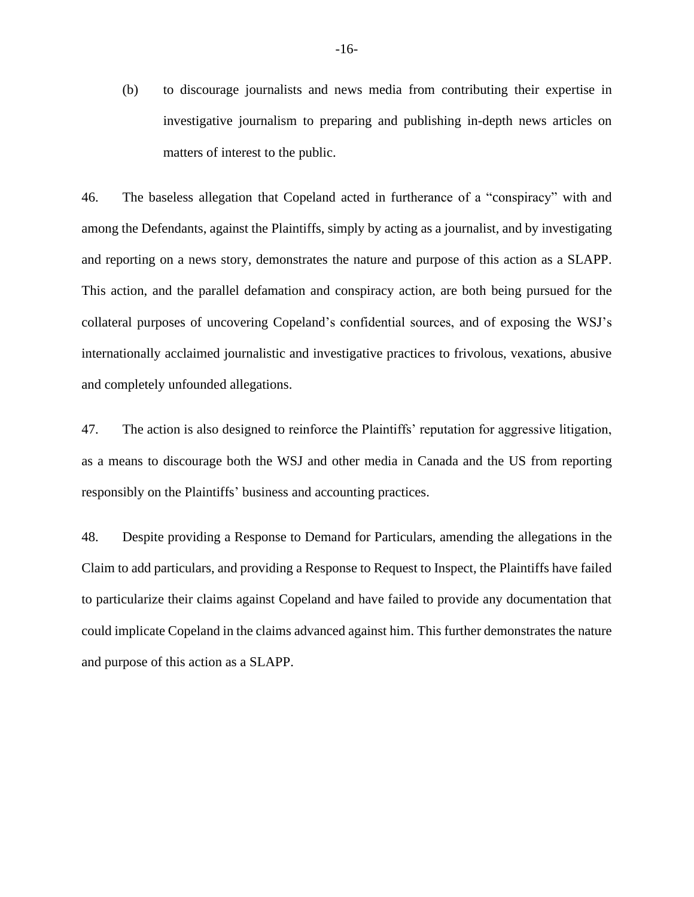(b) to discourage journalists and news media from contributing their expertise in investigative journalism to preparing and publishing in-depth news articles on matters of interest to the public.

46. The baseless allegation that Copeland acted in furtherance of a "conspiracy" with and among the Defendants, against the Plaintiffs, simply by acting as a journalist, and by investigating and reporting on a news story, demonstrates the nature and purpose of this action as a SLAPP. This action, and the parallel defamation and conspiracy action, are both being pursued for the collateral purposes of uncovering Copeland's confidential sources, and of exposing the WSJ's internationally acclaimed journalistic and investigative practices to frivolous, vexations, abusive and completely unfounded allegations.

47. The action is also designed to reinforce the Plaintiffs' reputation for aggressive litigation, as a means to discourage both the WSJ and other media in Canada and the US from reporting responsibly on the Plaintiffs' business and accounting practices.

48. Despite providing a Response to Demand for Particulars, amending the allegations in the Claim to add particulars, and providing a Response to Request to Inspect, the Plaintiffs have failed to particularize their claims against Copeland and have failed to provide any documentation that could implicate Copeland in the claims advanced against him. This further demonstrates the nature and purpose of this action as a SLAPP.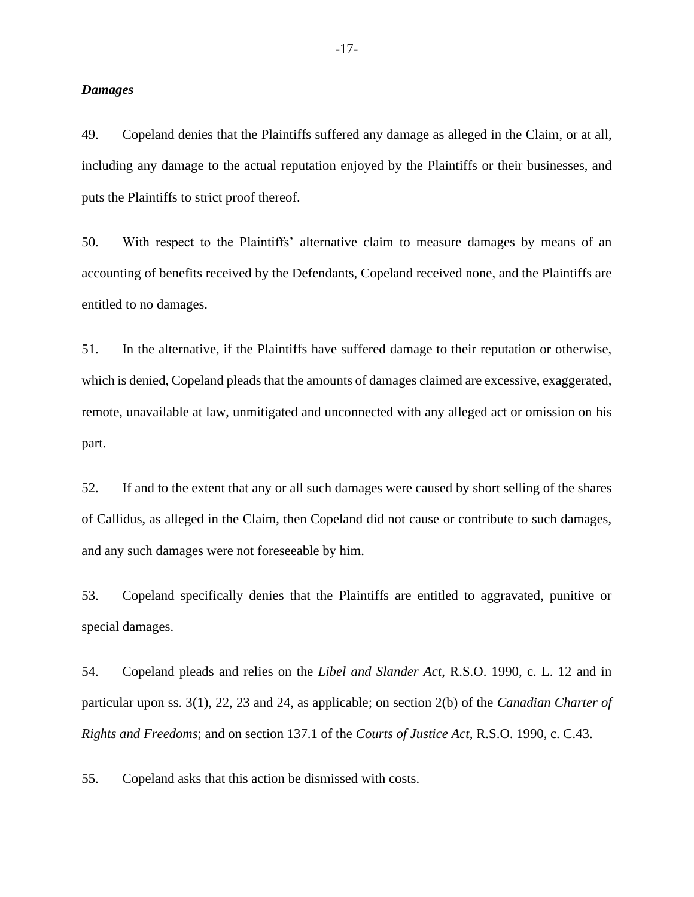#### *Damages*

49. Copeland denies that the Plaintiffs suffered any damage as alleged in the Claim, or at all, including any damage to the actual reputation enjoyed by the Plaintiffs or their businesses, and puts the Plaintiffs to strict proof thereof.

50. With respect to the Plaintiffs' alternative claim to measure damages by means of an accounting of benefits received by the Defendants, Copeland received none, and the Plaintiffs are entitled to no damages.

51. In the alternative, if the Plaintiffs have suffered damage to their reputation or otherwise, which is denied, Copeland pleads that the amounts of damages claimed are excessive, exaggerated, remote, unavailable at law, unmitigated and unconnected with any alleged act or omission on his part.

52. If and to the extent that any or all such damages were caused by short selling of the shares of Callidus, as alleged in the Claim, then Copeland did not cause or contribute to such damages, and any such damages were not foreseeable by him.

53. Copeland specifically denies that the Plaintiffs are entitled to aggravated, punitive or special damages.

54. Copeland pleads and relies on the *Libel and Slander Act*, R.S.O. 1990, c. L. 12 and in particular upon ss. 3(1), 22, 23 and 24, as applicable; on section 2(b) of the *Canadian Charter of Rights and Freedoms*; and on section 137.1 of the *Courts of Justice Act*, R.S.O. 1990, c. C.43.

55. Copeland asks that this action be dismissed with costs.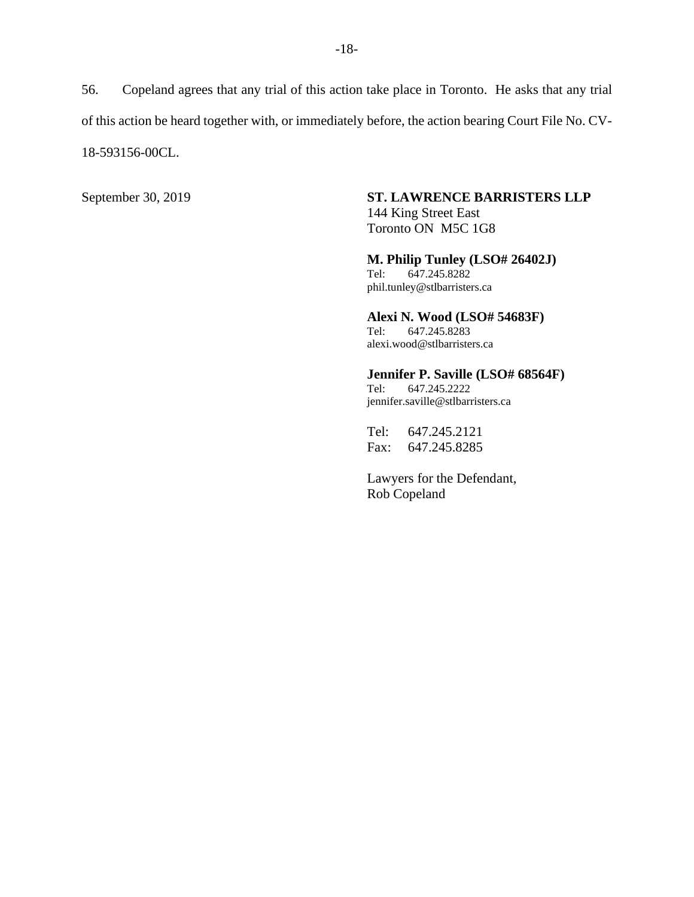56. Copeland agrees that any trial of this action take place in Toronto. He asks that any trial of this action be heard together with, or immediately before, the action bearing Court File No. CV-18-593156-00CL.

## September 30, 2019 **ST. LAWRENCE BARRISTERS LLP**

144 King Street East Toronto ON M5C 1G8

**M. Philip Tunley (LSO# 26402J)**<br>Tel: 647.245.8282 Tel: 647.245.8282 phil.tunley@stlbarristers.ca

**Alexi N. Wood (LSO# 54683F)**<br>Tel: 647.245.8283 647.245.8283 alexi.wood@stlbarristers.ca

**Jennifer P. Saville (LSO# 68564F)**

Tel: 647.245.2222 jennifer.saville@stlbarristers.ca

Tel: 647.245.2121 Fax: 647.245.8285

Lawyers for the Defendant, Rob Copeland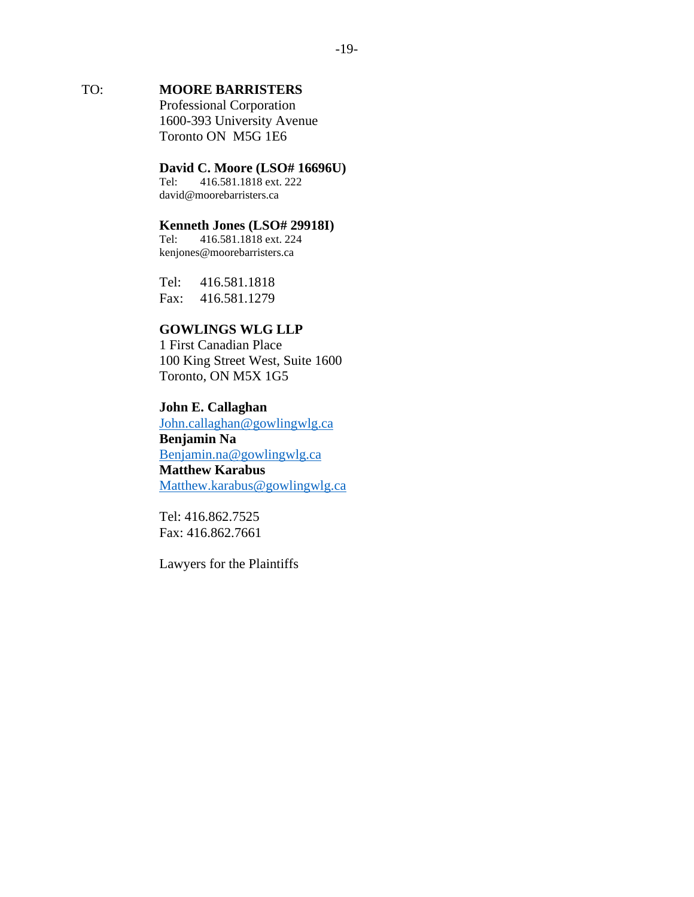# TO: **MOORE BARRISTERS**

Professional Corporation 1600-393 University Avenue Toronto ON M5G 1E6

# **David C. Moore (LSO# 16696U)**<br>Tel: 416.581.1818 ext. 222

416.581.1818 ext. 222 david@moorebarristers.ca

# **Kenneth Jones (LSO# 29918I)**<br>Tel: 416.581.1818 ext. 224

Tel: 416.581.1818 ext. 224 kenjones@moorebarristers.ca

Tel: 416.581.1818 Fax: 416.581.1279

## **GOWLINGS WLG LLP**

1 First Canadian Place 100 King Street West, Suite 1600 Toronto, ON M5X 1G5

### **John E. Callaghan**

[John.callaghan@gowlingwlg.ca](mailto:John.callaghan@gowlingwlg.ca) **Benjamin Na** [Benjamin.na@gowlingwlg.ca](mailto:Benjamin.na@gowlingwlg.ca) **Matthew Karabus**  [Matthew.karabus@gowlingwlg.ca](mailto:Matthew.karabus@gowlingwlg.ca)

Tel: 416.862.7525 Fax: 416.862.7661

Lawyers for the Plaintiffs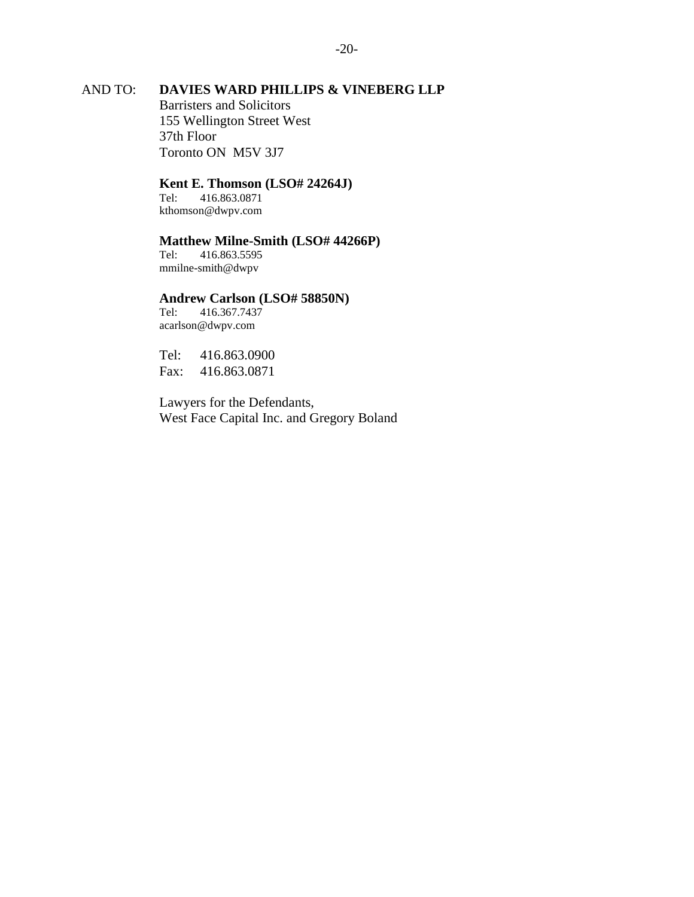## AND TO: **DAVIES WARD PHILLIPS & VINEBERG LLP**

Barristers and Solicitors 155 Wellington Street West 37th Floor Toronto ON M5V 3J7

#### **Kent E. Thomson (LSO# 24264J)**

Tel: 416.863.0871 kthomson@dwpv.com

# **Matthew Milne-Smith (LSO# 44266P)**

Tel: 416.863.5595 mmilne-smith@dwpv

# **Andrew Carlson (LSO# 58850N)**<br>Tel: 416.367.7437

Tel: 416.367.7437 acarlson@dwpv.com

Tel: 416.863.0900 Fax: 416.863.0871

Lawyers for the Defendants, West Face Capital Inc. and Gregory Boland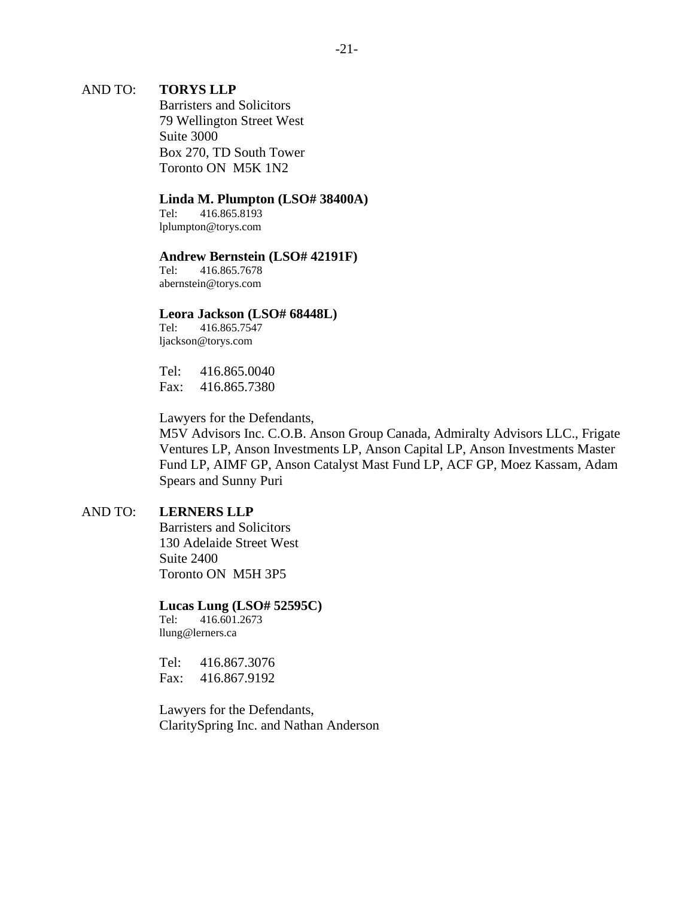### AND TO: **TORYS LLP**

Barristers and Solicitors 79 Wellington Street West Suite 3000 Box 270, TD South Tower Toronto ON M5K 1N2

#### **Linda M. Plumpton (LSO# 38400A)**

Tel: 416.865.8193 lplumpton@torys.com

#### **Andrew Bernstein (LSO# 42191F)**

Tel: 416.865.7678 abernstein@torys.com

#### **Leora Jackson (LSO# 68448L)**

Tel: 416.865.7547 ljackson@torys.com

Tel: 416.865.0040 Fax: 416.865.7380

Lawyers for the Defendants,

M5V Advisors Inc. C.O.B. Anson Group Canada, Admiralty Advisors LLC., Frigate Ventures LP, Anson Investments LP, Anson Capital LP, Anson Investments Master Fund LP, AIMF GP, Anson Catalyst Mast Fund LP, ACF GP, Moez Kassam, Adam Spears and Sunny Puri

#### AND TO: **LERNERS LLP**

Barristers and Solicitors 130 Adelaide Street West Suite 2400 Toronto ON M5H 3P5

#### **Lucas Lung (LSO# 52595C)**

Tel: 416.601.2673 llung@lerners.ca

Tel: 416.867.3076 Fax: 416.867.9192

Lawyers for the Defendants, ClaritySpring Inc. and Nathan Anderson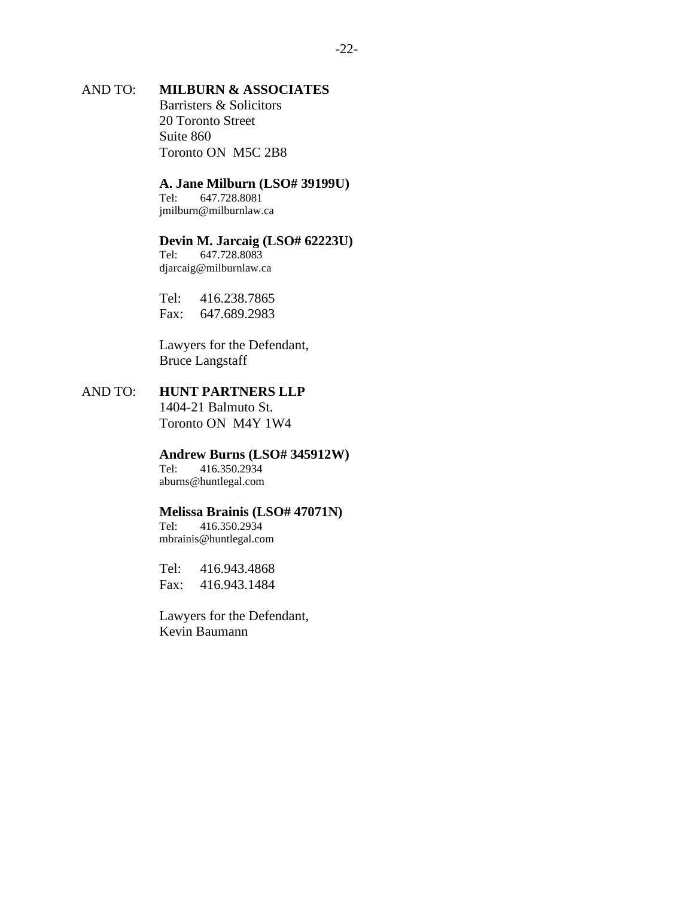## AND TO: **MILBURN & ASSOCIATES**

Barristers & Solicitors 20 Toronto Street Suite 860 Toronto ON M5C 2B8

#### **A. Jane Milburn (LSO# 39199U)**

Tel: 647.728.8081 jmilburn@milburnlaw.ca

#### **Devin M. Jarcaig (LSO# 62223U)**

Tel: 647.728.8083 djarcaig@milburnlaw.ca

Tel: 416.238.7865 Fax: 647.689.2983

Lawyers for the Defendant, Bruce Langstaff

# AND TO: **HUNT PARTNERS LLP**

1404-21 Balmuto St. Toronto ON M4Y 1W4

# **Andrew Burns (LSO# 345912W)**<br>Tel: 416.350.2934

Tel: 416.350.2934 aburns@huntlegal.com

#### **Melissa Brainis (LSO# 47071N)**

Tel: 416.350.2934 mbrainis@huntlegal.com

Tel: 416.943.4868 Fax: 416.943.1484

Lawyers for the Defendant, Kevin Baumann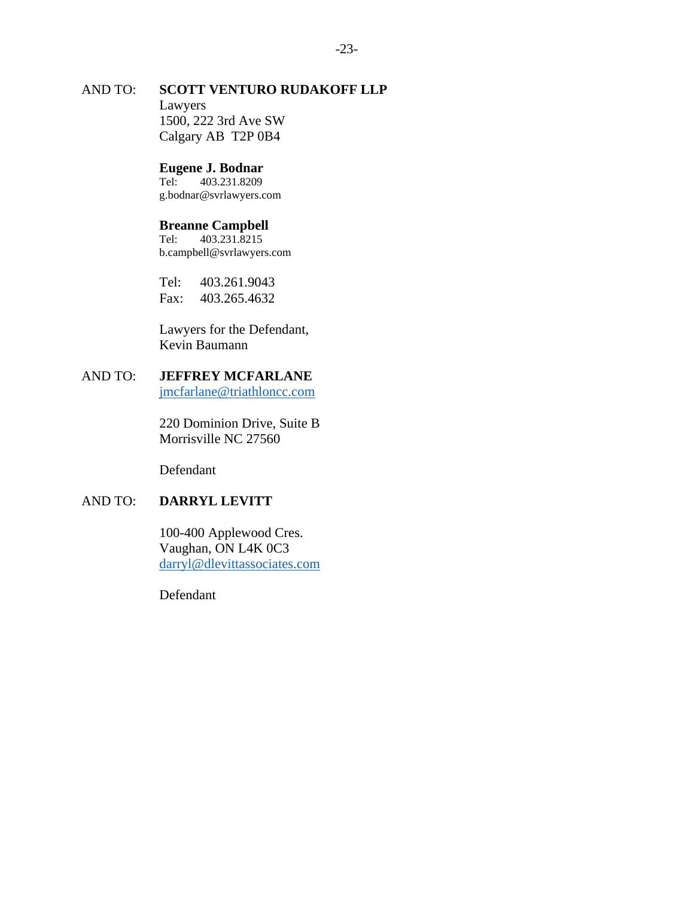## AND TO: **SCOTT VENTURO RUDAKOFF LLP** Lawyers 1500, 222 3rd Ave SW Calgary AB T2P 0B4

# **Eugene J. Bodnar**<br>Tel: 403.231.8209

Tel: 403.231.8209 g.bodnar@svrlawyers.com

# **Breanne Campbell**<br>Tel: 403.231.8215

Tel: 403.231.8215 b.campbell@svrlawyers.com

Tel: 403.261.9043 Fax: 403.265.4632

Lawyers for the Defendant, Kevin Baumann

# AND TO: **JEFFREY MCFARLANE**

[jmcfarlane@triathloncc.com](mailto:jmcfarlane@triathloncc.com)

220 Dominion Drive, Suite B Morrisville NC 27560

Defendant

## AND TO: **DARRYL LEVITT**

100-400 Applewood Cres. Vaughan, ON L4K 0C3 [darryl@dlevittassociates.com](mailto:darryl@dlevittassociates.com)

Defendant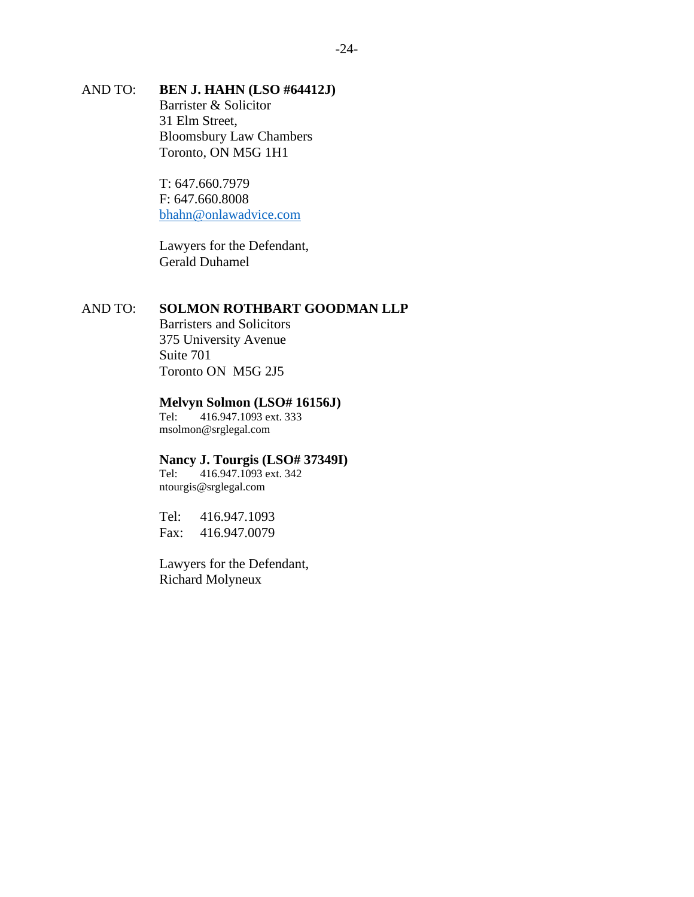## AND TO: **BEN J. HAHN (LSO #64412J)** Barrister & Solicitor 31 Elm Street, Bloomsbury Law Chambers Toronto, ON M5G 1H1

T: 647.660.7979 F: 647.660.8008 [bhahn@onlawadvice.com](mailto:bhahn@onlawadvice.com)

Lawyers for the Defendant, Gerald Duhamel

### AND TO: **SOLMON ROTHBART GOODMAN LLP**

Barristers and Solicitors 375 University Avenue Suite 701 Toronto ON M5G 2J5

#### **Melvyn Solmon (LSO# 16156J)**

Tel: 416.947.1093 ext. 333 msolmon@srglegal.com

# **Nancy J. Tourgis (LSO# 37349I)**<br>Tel: 416.947.1093 ext. 342

416.947.1093 ext. 342 ntourgis@srglegal.com

Tel: 416.947.1093 Fax: 416.947.0079

Lawyers for the Defendant, Richard Molyneux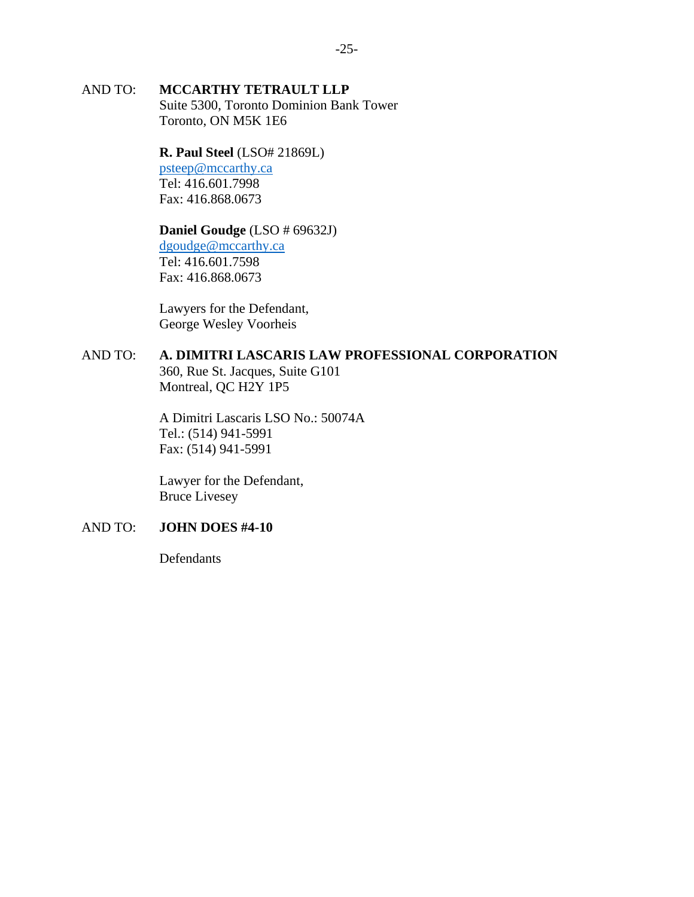## AND TO: **MCCARTHY TETRAULT LLP**

Suite 5300, Toronto Dominion Bank Tower Toronto, ON M5K 1E6

### **R. Paul Steel** (LSO# 21869L)

[psteep@mccarthy.ca](mailto:psteep@mccarthy.ca) Tel: 416.601.7998 Fax: 416.868.0673

### **Daniel Goudge** (LSO # 69632J)

[dgoudge@mccarthy.ca](mailto:dgoudge@mccarthy.ca) Tel: 416.601.7598 Fax: 416.868.0673

Lawyers for the Defendant, George Wesley Voorheis

## AND TO: **A. DIMITRI LASCARIS LAW PROFESSIONAL CORPORATION**

360, Rue St. Jacques, Suite G101 Montreal, QC H2Y 1P5

A Dimitri Lascaris LSO No.: 50074A Tel.: (514) 941-5991 Fax: (514) 941-5991

Lawyer for the Defendant, Bruce Livesey

## AND TO: **JOHN DOES #4-10**

Defendants